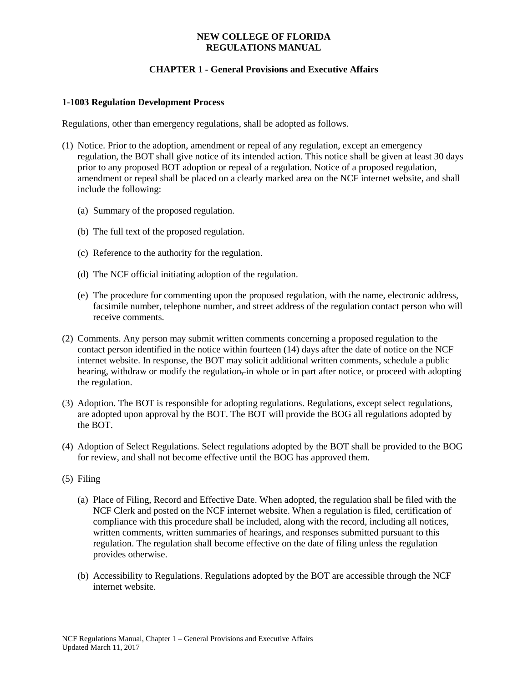### **NEW COLLEGE OF FLORIDA REGULATIONS MANUAL**

# **CHAPTER 1 - General Provisions and Executive Affairs**

### **1-1003 Regulation Development Process**

Regulations, other than emergency regulations, shall be adopted as follows.

- (1) Notice. Prior to the adoption, amendment or repeal of any regulation, except an emergency regulation, the BOT shall give notice of its intended action. This notice shall be given at least 30 days prior to any proposed BOT adoption or repeal of a regulation. Notice of a proposed regulation, amendment or repeal shall be placed on a clearly marked area on the NCF internet website, and shall include the following:
	- (a) Summary of the proposed regulation.
	- (b) The full text of the proposed regulation.
	- (c) Reference to the authority for the regulation.
	- (d) The NCF official initiating adoption of the regulation.
	- (e) The procedure for commenting upon the proposed regulation, with the name, electronic address, facsimile number, telephone number, and street address of the regulation contact person who will receive comments.
- (2) Comments. Any person may submit written comments concerning a proposed regulation to the contact person identified in the notice within fourteen (14) days after the date of notice on the NCF internet website. In response, the BOT may solicit additional written comments, schedule a public hearing, withdraw or modify the regulation–in whole or in part after notice, or proceed with adopting the regulation.
- (3) Adoption. The BOT is responsible for adopting regulations. Regulations, except select regulations, are adopted upon approval by the BOT. The BOT will provide the BOG all regulations adopted by the BOT.
- (4) Adoption of Select Regulations. Select regulations adopted by the BOT shall be provided to the BOG for review, and shall not become effective until the BOG has approved them.
- (5) Filing
	- (a) Place of Filing, Record and Effective Date. When adopted, the regulation shall be filed with the NCF Clerk and posted on the NCF internet website. When a regulation is filed, certification of compliance with this procedure shall be included, along with the record, including all notices, written comments, written summaries of hearings, and responses submitted pursuant to this regulation. The regulation shall become effective on the date of filing unless the regulation provides otherwise.
	- (b) Accessibility to Regulations. Regulations adopted by the BOT are accessible through the NCF internet website.